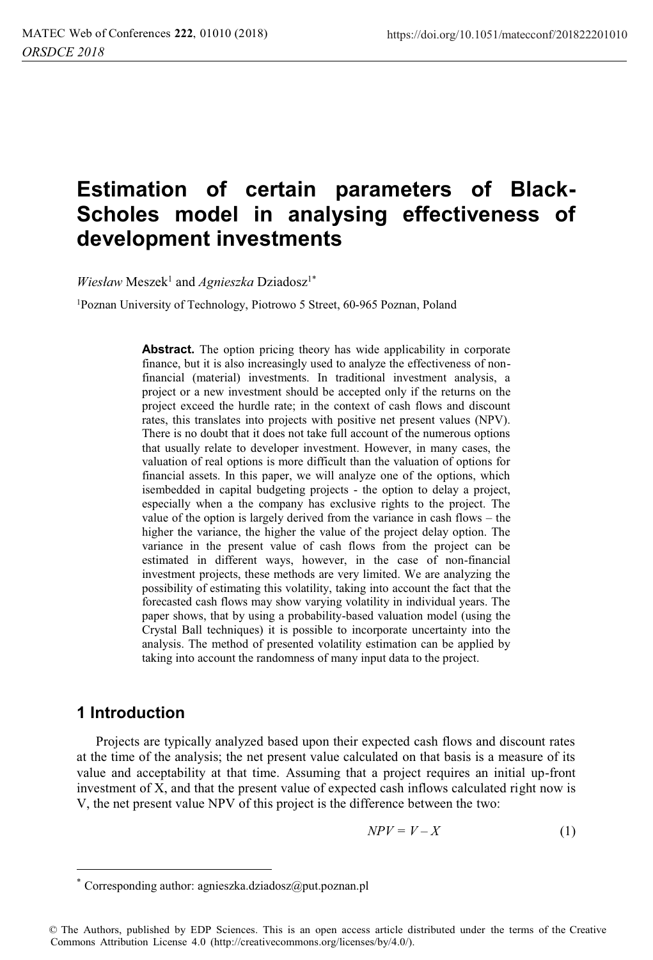# **Estimation of certain parameters of Black-Scholes model in analysing effectiveness of development investments**

 $Wieslaw$  Meszek<sup>1</sup> and *Agnieszka* Dziadosz<sup>1\*</sup>

1Poznan University of Technology, Piotrowo 5 Street, 60-965 Poznan, Poland

Abstract. The option pricing theory has wide applicability in corporate finance, but it is also increasingly used to analyze the effectiveness of nonfinancial (material) investments. In traditional investment analysis, a project or a new investment should be accepted only if the returns on the project exceed the hurdle rate; in the context of cash flows and discount rates, this translates into projects with positive net present values (NPV). There is no doubt that it does not take full account of the numerous options that usually relate to developer investment. However, in many cases, the valuation of real options is more difficult than the valuation of options for financial assets. In this paper, we will analyze one of the options, which isembedded in capital budgeting projects - the option to delay a project, especially when a the company has exclusive rights to the project. The value of the option is largely derived from the variance in cash flows – the higher the variance, the higher the value of the project delay option. The variance in the present value of cash flows from the project can be estimated in different ways, however, in the case of non-financial investment projects, these methods are very limited. We are analyzing the possibility of estimating this volatility, taking into account the fact that the forecasted cash flows may show varying volatility in individual years. The paper shows, that by using a probability-based valuation model (using the Crystal Ball techniques) it is possible to incorporate uncertainty into the analysis. The method of presented volatility estimation can be applied by taking into account the randomness of many input data to the project.

## **1 Introduction**

 $\overline{a}$ 

Projects are typically analyzed based upon their expected cash flows and discount rates at the time of the analysis; the net present value calculated on that basis is a measure of its value and acceptability at that time. Assuming that a project requires an initial up-front investment of X, and that the present value of expected cash inflows calculated right now is V, the net present value NPV of this project is the difference between the two:

$$
NPV = V - X \tag{1}
$$

Corresponding author: agnieszka.dziadosz@put.poznan.pl

<sup>©</sup> The Authors, published by EDP Sciences. This is an open access article distributed under the terms of the Creative Commons Attribution License 4.0 (http://creativecommons.org/licenses/by/4.0/).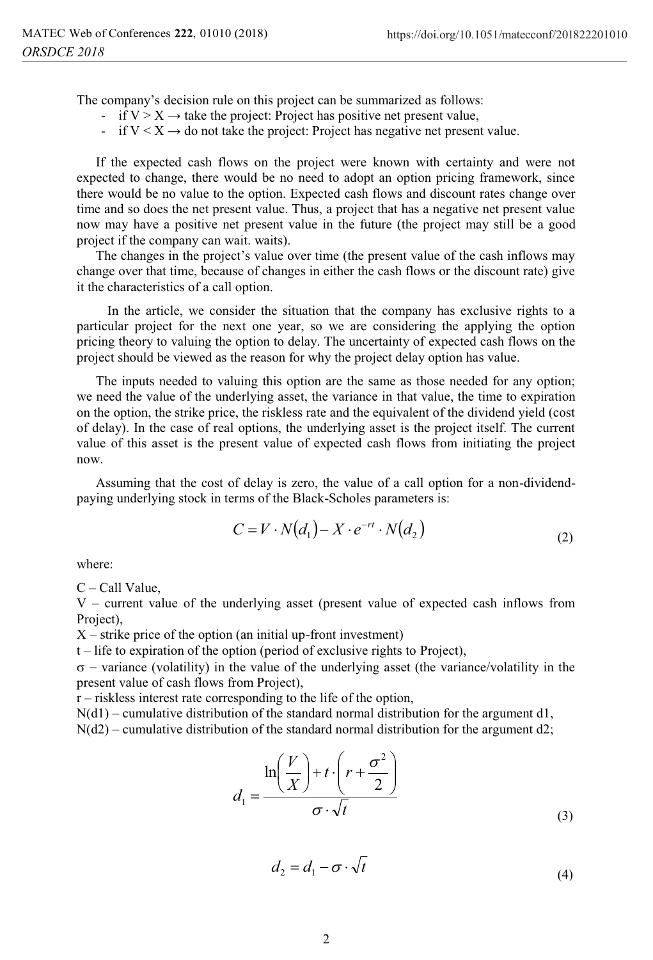The company's decision rule on this project can be summarized as follows:

- if  $V > X \rightarrow$  take the project: Project has positive net present value,
- $\text{if } V \leq X \rightarrow \text{do not take the project: Project has negative net present value.}$

If the expected cash flows on the project were known with certainty and were not expected to change, there would be no need to adopt an option pricing framework, since there would be no value to the option. Expected cash flows and discount rates change over time and so does the net present value. Thus, a project that has a negative net present value now may have a positive net present value in the future (the project may still be a good project if the company can wait. waits).

 The changes in the project's value over time (the present value of the cash inflows may change over that time, because of changes in either the cash flows or the discount rate) give it the characteristics of a call option.

In the article, we consider the situation that the company has exclusive rights to a particular project for the next one year, so we are considering the applying the option pricing theory to valuing the option to delay. The uncertainty of expected cash flows on the project should be viewed as the reason for why the project delay option has value.

The inputs needed to valuing this option are the same as those needed for any option; we need the value of the underlying asset, the variance in that value, the time to expiration on the option, the strike price, the riskless rate and the equivalent of the dividend yield (cost of delay). In the case of real options, the underlying asset is the project itself. The current value of this asset is the present value of expected cash flows from initiating the project now.

 Assuming that the cost of delay is zero, the value of a call option for a non-dividendpaying underlying stock in terms of the Black-Scholes parameters is:

$$
C = V \cdot N(d_1) - X \cdot e^{-rt} \cdot N(d_2)
$$
\n<sup>(2)</sup>

where:

C – Call Value,

V – current value of the underlying asset (present value of expected cash inflows from Project),

 $X$  – strike price of the option (an initial up-front investment)

t – life to expiration of the option (period of exclusive rights to Project),

 $\sigma$  – variance (volatility) in the value of the underlying asset (the variance/volatility in the present value of cash flows from Project),

r – riskless interest rate corresponding to the life of the option,

 $N(d)$  – cumulative distribution of the standard normal distribution for the argument d1,

 $N(d2)$  – cumulative distribution of the standard normal distribution for the argument d2;

$$
d_1 = \frac{\ln\left(\frac{V}{X}\right) + t \cdot \left(r + \frac{\sigma^2}{2}\right)}{\sigma \cdot \sqrt{t}}
$$
\n(3)

$$
d_2 = d_1 - \sigma \cdot \sqrt{t} \tag{4}
$$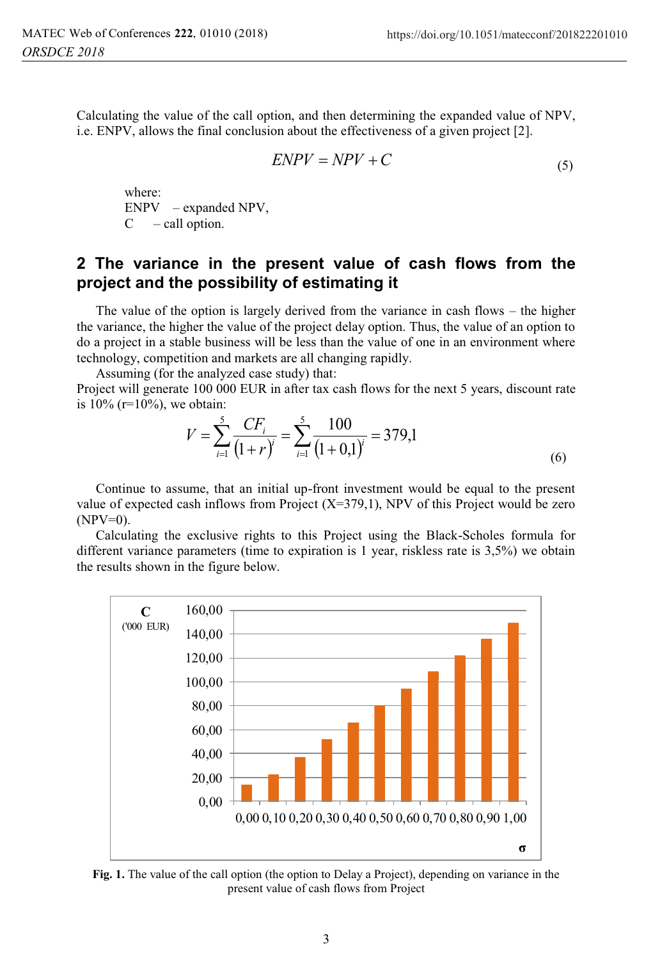Calculating the value of the call option, and then determining the expanded value of NPV, i.e. ENPV, allows the final conclusion about the effectiveness of a given project [2].

$$
ENPV = NPV + C \tag{5}
$$

where: ENPV – expanded NPV,  $C$  – call option.

## **2 The variance in the present value of cash flows from the project and the possibility of estimating it**

The value of the option is largely derived from the variance in cash flows – the higher the variance, the higher the value of the project delay option. Thus, the value of an option to do a project in a stable business will be less than the value of one in an environment where technology, competition and markets are all changing rapidly.

Assuming (for the analyzed case study) that: Project will generate 100 000 EUR in after tax cash flows for the next 5 years, discount rate is  $10\%$  (r=10%), we obtain:

$$
V = \sum_{i=1}^{5} \frac{CF_i}{(1+r)^i} = \sum_{i=1}^{5} \frac{100}{(1+0,1)^i} = 379,1
$$
\n(6)

Continue to assume, that an initial up-front investment would be equal to the present value of expected cash inflows from Project  $(X=379,1)$ , NPV of this Project would be zero  $(NPV=0)$ .

Calculating the exclusive rights to this Project using the Black-Scholes formula for different variance parameters (time to expiration is 1 year, riskless rate is 3,5%) we obtain the results shown in the figure below.



**Fig. 1.** The value of the call option (the option to Delay a Project), depending on variance in the present value of cash flows from Project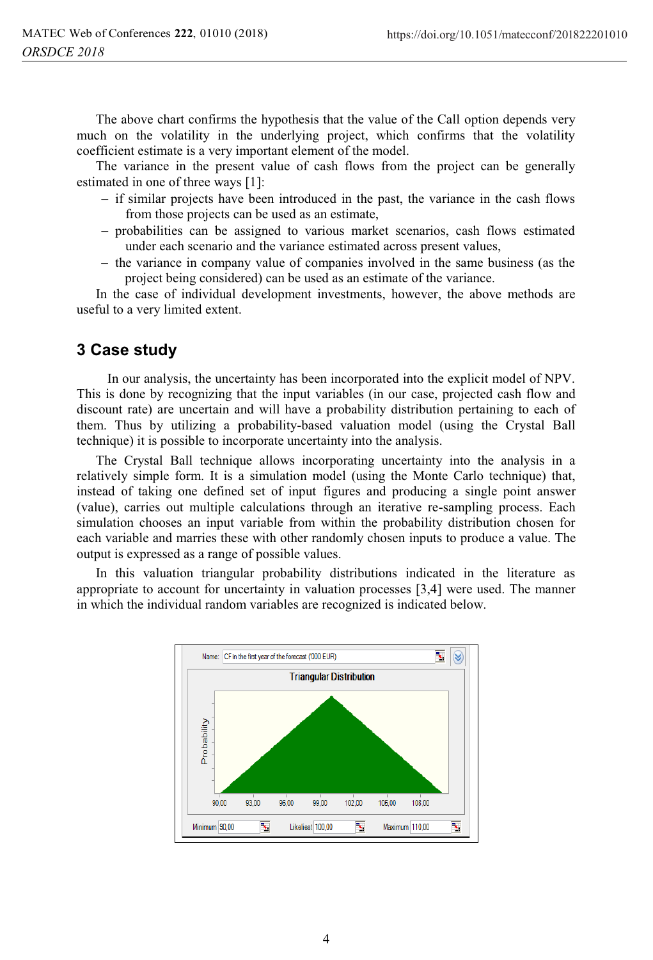The above chart confirms the hypothesis that the value of the Call option depends very much on the volatility in the underlying project, which confirms that the volatility coefficient estimate is a very important element of the model.

 The variance in the present value of cash flows from the project can be generally estimated in one of three ways [1]:

- if similar projects have been introduced in the past, the variance in the cash flows from those projects can be used as an estimate,
- probabilities can be assigned to various market scenarios, cash flows estimated under each scenario and the variance estimated across present values,
- $-$  the variance in company value of companies involved in the same business (as the project being considered) can be used as an estimate of the variance.

 In the case of individual development investments, however, the above methods are useful to a very limited extent.

### **3 Case study**

In our analysis, the uncertainty has been incorporated into the explicit model of NPV. This is done by recognizing that the input variables (in our case, projected cash flow and discount rate) are uncertain and will have a probability distribution pertaining to each of them. Thus by utilizing a probability-based valuation model (using the Crystal Ball technique) it is possible to incorporate uncertainty into the analysis.

 The Crystal Ball technique allows incorporating uncertainty into the analysis in a relatively simple form. It is a simulation model (using the Monte Carlo technique) that, instead of taking one defined set of input figures and producing a single point answer (value), carries out multiple calculations through an iterative re-sampling process. Each simulation chooses an input variable from within the probability distribution chosen for each variable and marries these with other randomly chosen inputs to produce a value. The output is expressed as a range of possible values.

 In this valuation triangular probability distributions indicated in the literature as appropriate to account for uncertainty in valuation processes [3,4] were used. The manner in which the individual random variables are recognized is indicated below.

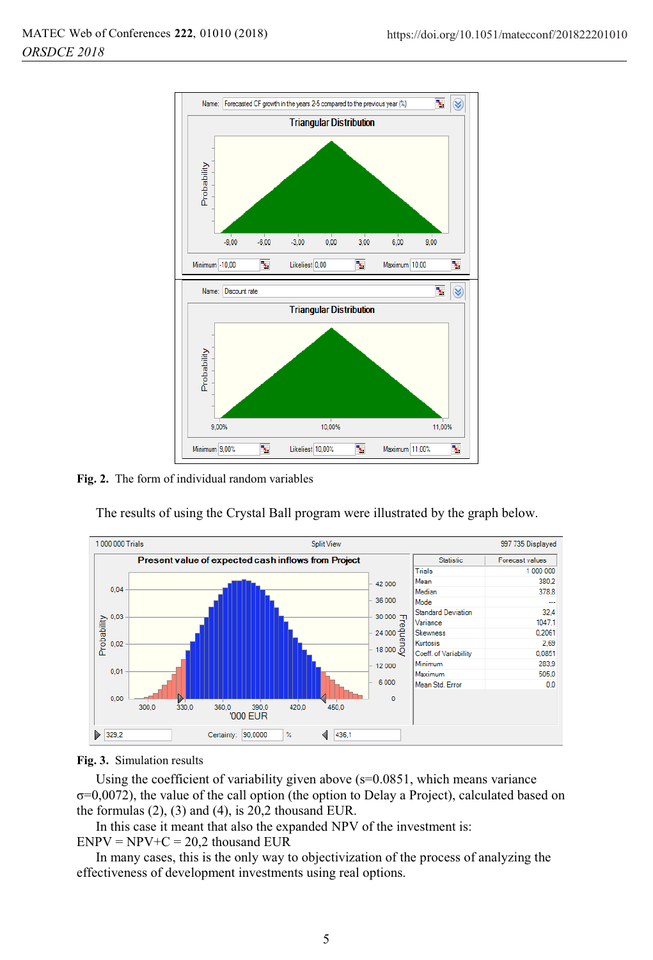

#### **Fig. 2.** The form of individual random variables

The results of using the Crystal Ball program were illustrated by the graph below.



#### **Fig. 3.** Simulation results

Using the coefficient of variability given above (s=0.0851, which means variance  $\sigma$ =0,0072), the value of the call option (the option to Delay a Project), calculated based on the formulas  $(2)$ ,  $(3)$  and  $(4)$ , is 20,2 thousand EUR.

 In this case it meant that also the expanded NPV of the investment is:  $ENPV = NPV + C = 20,2$  thousand EUR

 In many cases, this is the only way to objectivization of the process of analyzing the effectiveness of development investments using real options.